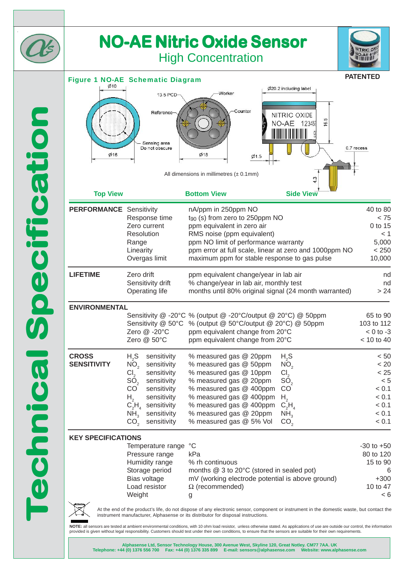

## **NO-AE Nitric Oxide Sensor NO-AE Nitric Oxide Sensor** High Concentration



## **PATENTED** Figure 1 NO-AE Schematic Diagram Ø20.2 including label **Worker** 13.5 PCD Counter Reference NITRIC OXIDE 16.5 NO-AE 12345 Sensing area 0.7 recess Do not obscure  $O$ 16  $Ø18$  $Ø1.5$ All dimensions in millimetres  $(± 0.1mm)$ **Top View Bottom View Side View PERFORMANCE** Sensitivity and a nation of the 1250ppm NO 40 to 80 Response time  $t_{90}$  (s) from zero to 250ppm NO  $<$  75 Zero current ppm equivalent in zero air metal control to 15 Resolution RMS noise (ppm equivalent)  $<$  1 Range **business ppm NO limit of performance warranty properties** 5,000 Linearity ppm error at full scale, linear at zero and 1000ppm NO < 250 Overgas limit maximum ppm for stable response to gas pulse 10,000 **LIFETIME** Zero drift ppm equivalent change/year in lab air nd nd Sensitivity drift % change/year in lab air, monthly test metal who has no Operating life months until 80% original signal  $(24 \text{ month warranted})$  > 24 **ENVIRONMENTAL** Sensitivity @ -20°C % (output @ -20°C/output @ 20°C) @ 50ppm 65 to 90 Sensitivity @ 50°C % (output @ 50°C/output @ 20°C) @ 50ppm 103 to 112 Zero  $@ -20^{\circ}$ C ppm equivalent change from  $20^{\circ}$ C  $\leq 0$  to -3 Zero @ 50°C ppm equivalent change from 20°C < 10 to 40 **CROSS** H<sub>2</sub>S sensitivity % measured gas @ 20ppm H<sub>2</sub>S <br> **SENSITIVITY** NO<sub>2</sub> sensitivity % measured gas @ 50ppm NO<sub>2</sub> < 20  $N\overline{O}_2$  sensitivity % measured gas @ 50ppm  $N\overline{O}_2$  < 20<br>
Cl<sub>2</sub> sensitivity % measured gas @ 10ppm Cl<sub>2</sub>  $\leq$  25  $Cl_2$  sensitivity % measured gas @ 10ppm  $Cl_2$ <br>SO sensitivity % measured gas @ 20ppm SO  $SO_2$  sensitivity % measured gas @ 20ppm  $SO_2$   $\leq 5$ <br>CO sensitivity % measured gas @ 400ppm CO  $\leq 0.1$  $%$  measured gas  $@$  400ppm H<sub>2</sub> sensitivity % measured gas @ 400ppm H<sub>2</sub>  $C_2H_1$  sensitivity % measured gas @ 400ppm  $C_2H_2$   $< 0.1$   $< 0.1$  $C_2$ H<sub>4</sub> sensitivity<br>NH<sub>2</sub> sensitivity sensitivity % measured gas @ 400ppm  $C_2H$ <br>sensitivity % measured gas @ 20ppm NH  $H<sub>4</sub>$   $< 0.1$  $N\bar{H}_3$  sensitivity % measured gas @ 20ppm  $N\bar{H}_3$   $\leq 0.1$ <br>CO<sub>2</sub> sensitivity % measured gas @ 5% Vol CO<sub>2</sub>  $\leq 0.1$ % measured gas @ 5% Vol **KEY SPECIFICATIONS** Temperature range  ${}^{\circ}$ C -30 to +50 Pressure range by RPa 80 to 120 Humidity range % rh continuous 15 to 90 Storage period months @ 3 to 20°C (stored in sealed pot) 6



At the end of the product's life, do not dispose of any electronic sensor, component or instrument in the domestic waste, but contact the instrument manufacturer, Alphasense or its distributor for disposal instructions.

Bias voltage mV (working electrode potential is above ground)  $+300$ Load resistor  $\Omega$  (recommended) 10 to 47 Weight g < 6

NOTE: all sensors are tested at ambient environmental conditions, with 10 ohm load resistor, unless otherwise stated. As applications of use are outside our control, the information provided is given without legal responsibility. Customers should test under their own conditions, to ensure that the sensors are suitable for their own requirements.